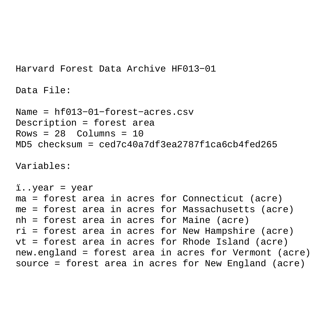Harvard Forest Data Archive HF013−01

Data File:

```
Name = hf013−01−forest−acres.csv
Description = forest area 
Rows = 28 Columns = 10MD5 checksum = ced7c40a7df3ea2787f1ca6cb4fed265
```
Variables:

```
ï..year = year 
ma = forest area in acres for Connecticut (acre) 
me = forest area in acres for Massachusetts (acre) 
nh = forest area in acres for Maine (acre) 
ri = forest area in acres for New Hampshire (acre) 
vt = forest area in acres for Rhode Island (acre) 
new.england = forest area in acres for Vermont (acre) 
source = forest area in acres for New England (acre)
```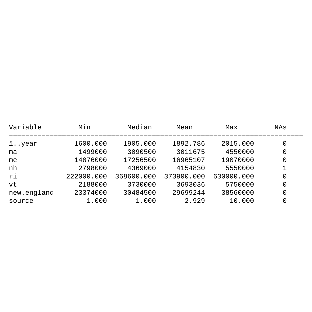| Variable    | Min        | Median     | Mean       | Max        | NAs |
|-------------|------------|------------|------------|------------|-----|
| ïyear       | 1600.000   | 1905.000   | 1892.786   | 2015.000   | 0   |
| ma          | 1499000    | 3090500    | 3011675    | 4550000    | 0   |
| me          | 14876000   | 17256500   | 16965107   | 19070000   |     |
| nh          | 2798000    | 4369000    | 4154830    | 5550000    |     |
| ri          | 222000.000 | 368600.000 | 373900.000 | 630000.000 |     |
| vt          | 2188000    | 3730000    | 3693036    | 5750000    | 0   |
| new.england | 23374000   | 30484500   | 29699244   | 38560000   | 0   |
| source      | 1.000      | 1.000      | 2.929      | 10.000     |     |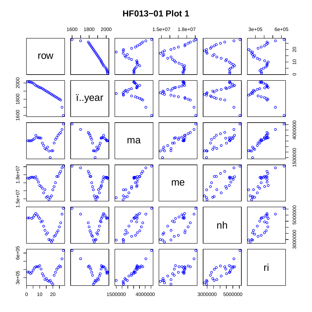## **HF013-01 Plot 1**